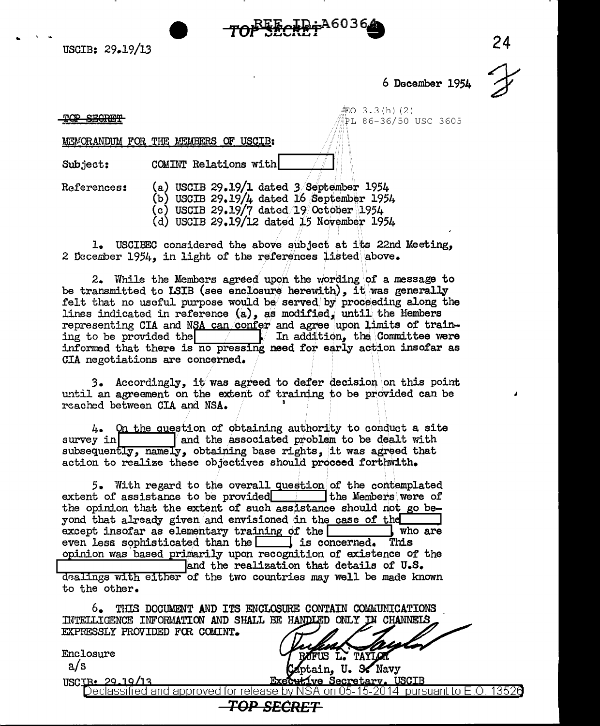..



6 December 1954 ~

 $EO 3.3 (h) (2)$ PL 86-36/50 USC 3605

TOP SECRET

## **MEMORANDUM FOR THE MEMBERS OF USCIB:**

Subject: COMINT Relations with

- $Ref$ erences: (a) USCIB 29.19/1 dated 3/September 1954
	- $(b)$  USCIB 29.19/4 dated 16 September 1954
	- (c) USCIB 29.19/7 dated/19 October 1954
	- (d) USCIB 29.19/12 dated 15 November 1954

1. USCIBEC considered the above subject at its 22nd Meeting, 2 December 1954, in light of the references listed above.

2. While the Members agreed upon the wording of a message to be transmitted to LSIB (see enclosure herewith), it was generally felt that no useful purpose would be served by proceeding along the lines indicated in reference  $(a)$ , as modified, until the liembers representing CIA and NSA can/confer and agree upon limits of training to be provided the **/ / / In addition**, the Committee were informed that there is no pressing need for early action insofar as CIA negotiations are concerned.

3. Accordingly, it was agreed to defer decision on this point until an agreement on the extent of training to be provided can be reached between CIA and NSA. 1

4. On the question of obtaining authority to conduct a site survey in **land the associated problem to be dealt** with subsequently, namely, obtaining base rights, it was agreed that action to realize these objectives should proceed forthwith.

5. With regard to the overall question of the contemplated extent of assistance to be provided.  $\Box$  I the Members were of the opinion that the extent of such assistance should not go beyond that already given/and envisioned in the case of the except insofar as elementary training of the  $\boxed{\phantom{a}}$  who are except insofar as elementary training of the  $\Box$  who are even less sophisticated than the  $\Box$  is concerned. This opinion was based primarily upon recognition of existence of the and the realization that details of U.S. dealings with either of the two countries may well be made known to the other.

6. THIS DOCUMENT AND ITS ENCLOSURE CONTAIN COMMUNICATIONS INTELLIGENCE INFORMATION AND SHALL BE HANDLED ONLY IN CHANNELS EXPRESSLY PROVIDED FCR COMINT.

Enclosure a/s

ptain. U. S. Navy USClJ3,.:~l...J,.!;ill3...\_...,....-~~ .......... ~....,...-~~~~~~~Y,...,...~!J.tl~~-=-.,,...-,....,,....,,,,~

IFUS L. TAYLOR

:RF:T